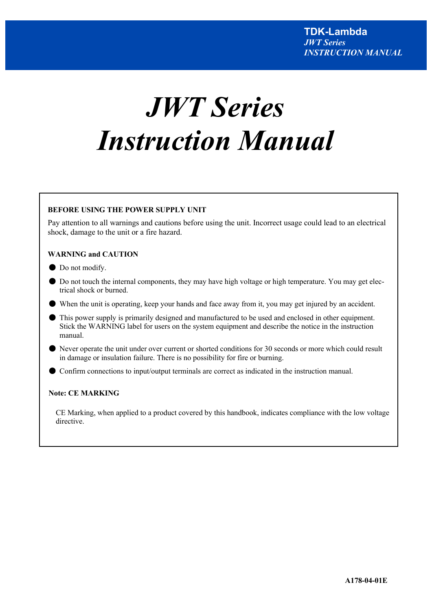# *JWT Series Instruction Manual*

# **BEFORE USING THE POWER SUPPLY UNIT**

 Pay attention to all warnings and cautions before using the unit. Incorrect usage could lead to an electrical shock, damage to the unit or a fire hazard.

# **WARNING and CAUTION**

- Do not modify.
- Do not touch the internal components, they may have high voltage or high temperature. You may get electrical shock or burned.
- When the unit is operating, keep your hands and face away from it, you may get injured by an accident.
- This power supply is primarily designed and manufactured to be used and enclosed in other equipment. Stick the WARNING label for users on the system equipment and describe the notice in the instruction manual.
- Never operate the unit under over current or shorted conditions for 30 seconds or more which could result in damage or insulation failure. There is no possibility for fire or burning.
- Confirm connections to input/output terminals are correct as indicated in the instruction manual.

# **Note: CE MARKING**

CE Marking, when applied to a product covered by this handbook, indicates compliance with the low voltage directive.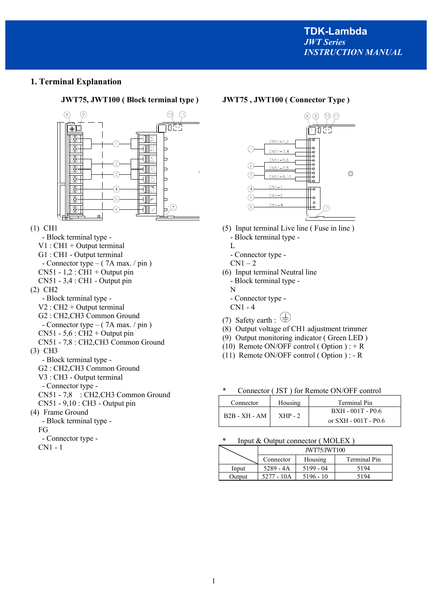# **1. Terminal Explanation**

### **JWT75, JWT100 ( Block terminal type ) JWT75 , JWT100 ( Connector Type )**





- (5) Input terminal Live line ( Fuse in line ) - Block terminal type -
	- L

 $\overline{1}$ 

- Connector type -
- $CN1-2$
- (6) Input terminal Neutral line - Block terminal type - N
	- Connector type -
	- CN1 4
- (7) Safety earth :  $\overline{\bigoplus}$
- (8) Output voltage of CH1 adjustment trimmer
- (9) Output monitoring indicator ( Green LED )
- (10) Remote ON/OFF control ( Option ) :  $+ R$
- (11) Remote ON/OFF control ( Option ) : R

Connector ( JST ) for Remote ON/OFF control

| Connector     | Housing   | Terminal Pin             |  |
|---------------|-----------|--------------------------|--|
| B2B - XH - AM | $XHP - 2$ | BXH - 001T - P0.6        |  |
|               |           | or $S X H - 001T - P0.6$ |  |

#### Input  $&$  Output connector ( MOLEX )

|        | JWT75/JWT100 |             |              |  |  |  |
|--------|--------------|-------------|--------------|--|--|--|
|        | Connector    | Housing     | Terminal Pin |  |  |  |
| Input  | $5289 - 4A$  | 5199 - 04   | 5194         |  |  |  |
| Output | 5277 - 10A   | $5196 - 10$ | 5194         |  |  |  |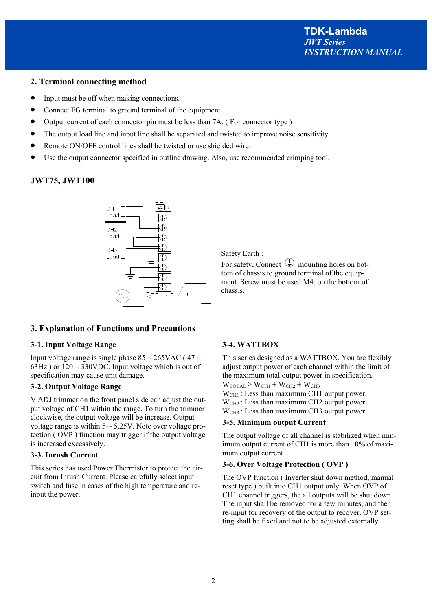# **2. Terminal connecting method**

- Input must be off when making connections.
- Connect FG terminal to ground terminal of the equipment.
- Output current of each connector pin must be less than 7A. (For connector type)
- The output load line and input line shall be separated and twisted to improve noise sensitivity.
- Remote ON/OFF control lines shall be twisted or use shielded wire.
- Use the output connector specified in outline drawing. Also, use recommended crimping tool.

# **JWT75, JWT100**



# **3. Explanation of Functions and Precautions**

# **3-1. Input Voltage Range**

Input voltage range is single phase  $85 \sim 265 \text{VAC}$  (47  $\sim$ 63Hz) or  $120 \sim 330$ VDC. Input voltage which is out of specification may cause unit damage.

# **3-2. Output Voltage Range**

V.ADJ trimmer on the front panel side can adjust the output voltage of CH1 within the range. To turn the trimmer clockwise, the output voltage will be increase. Output voltage range is within  $5 \sim 5.25V$ . Note over voltage protection ( OVP ) function may trigger if the output voltage is increased excessively.

# **3-3. Inrush Current**

This series has used Power Thermistor to protect the circuit from Inrush Current. Please carefully select input switch and fuse in cases of the high temperature and reinput the power.

Safety Earth :

For safety, Connect  $\overline{\bigoplus}$  mounting holes on bottom of chassis to ground terminal of the equipment. Screw must be used M4. on the bottom of chassis.

# **3-4. WATTBOX**

This series designed as a WATTBOX. You are flexibly adjust output power of each channel within the limit of the maximum total output power in specification.  $W_{\text{TOTAL}} \geq W_{\text{CH1}} + W_{\text{CH2}} + W_{\text{CH3}}$ W<sub>CH1</sub>: Less than maximum CH1 output power.  $W<sub>CH2</sub>$ : Less than maximum CH2 output power.  $W<sub>CH3</sub>$ : Less than maximum CH3 output power.

# **3-5. Minimum output Current**

The output voltage of all channel is stabilized when minimum output current of CH1 is more than 10% of maximum output current.

# **3-6. Over Voltage Protection ( OVP )**

The OVP function ( Inverter shut down method, manual reset type ) built into CH1 output only. When OVP of CH1 channel triggers, the all outputs will be shut down. The input shall be removed for a few minutes, and then re-input for recovery of the output to recover. OVP setting shall be fixed and not to be adjusted externally.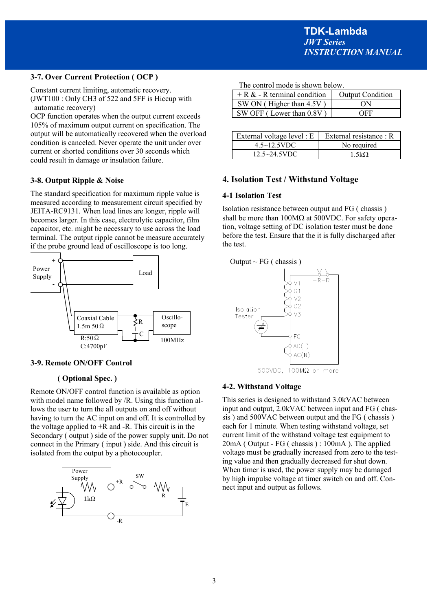# **3-7. Over Current Protection ( OCP )**

Constant current limiting, automatic recovery. (JWT100 : Only CH3 of 522 and 5FF is Hiccup with automatic recovery)

OCP function operates when the output current exceeds 105% of maximum output current on specification. The output will be automatically recovered when the overload condition is canceled. Never operate the unit under over current or shorted conditions over 30 seconds which could result in damage or insulation failure.

# **3-8. Output Ripple & Noise**

The standard specification for maximum ripple value is measured according to measurement circuit specified by JEITA-RC9131. When load lines are longer, ripple will becomes larger. In this case, electrolytic capacitor, film capacitor, etc. might be necessary to use across the load terminal. The output ripple cannot be measure accurately if the probe ground lead of oscilloscope is too long.



#### **3-9. Remote ON/OFF Control**

# **( Optional Spec. )**

Remote ON/OFF control function is available as option with model name followed by /R. Using this function allows the user to turn the all outputs on and off without having to turn the AC input on and off. It is controlled by the voltage applied to  $+R$  and  $-R$ . This circuit is in the Secondary ( output ) side of the power supply unit. Do not connect in the Primary ( input ) side. And this circuit is isolated from the output by a photocoupler.



The control mode is shown below.

| $+ R & - R$ terminal condition | <b>Output Condition</b> |
|--------------------------------|-------------------------|
| SW ON (Higher than 4.5V)       | ON                      |
| SW OFF (Lower than 0.8V)       | OEE                     |

| External voltage level : $E$ | External resistance : R |  |  |
|------------------------------|-------------------------|--|--|
| $4.5 \sim 12.5$ VDC          | No required             |  |  |
| $12.5 \sim 24.5$ VDC         | 1.5k <sub>O</sub>       |  |  |

### **4. Isolation Test / Withstand Voltage**

#### **4-1 Isolation Test**

Isolation resistance between output and FG ( chassis ) shall be more than  $100\text{M}\Omega$  at  $500\text{V}\Omega$ . For safety operation, voltage setting of DC isolation tester must be done before the test. Ensure that the it is fully discharged after the test.



500VDC, 100MΩ or more

#### **4-2. Withstand Voltage**

This series is designed to withstand 3.0kVAC between input and output, 2.0kVAC between input and FG ( chassis ) and 500VAC between output and the FG ( chassis ) each for 1 minute. When testing withstand voltage, set current limit of the withstand voltage test equipment to 20mA ( Output - FG ( chassis ) : 100mA ). The applied voltage must be gradually increased from zero to the testing value and then gradually decreased for shut down. When timer is used, the power supply may be damaged by high impulse voltage at timer switch on and off. Connect input and output as follows.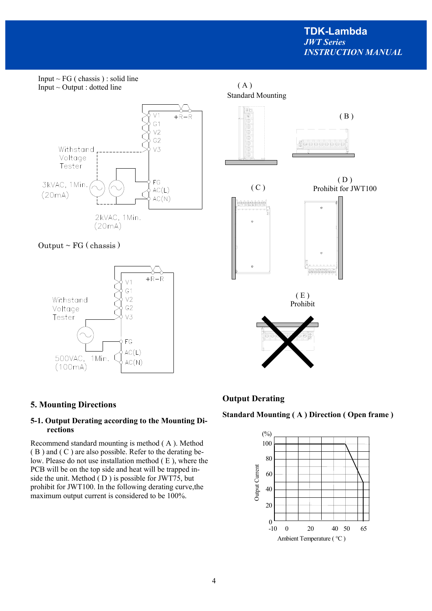$(B)$ 



# **5. Mounting Directions**

# **5-1. Output Derating according to the Mounting Directions**

Recommend standard mounting is method ( A ). Method ( B ) and ( C ) are also possible. Refer to the derating below. Please do not use installation method ( E ), where the PCB will be on the top side and heat will be trapped inside the unit. Method ( D ) is possible for JWT75, but prohibit for JWT100. In the following derating curve,the maximum output current is considered to be 100%.

# **Output Derating**

# **Standard Mounting ( A ) Direction ( Open frame )**

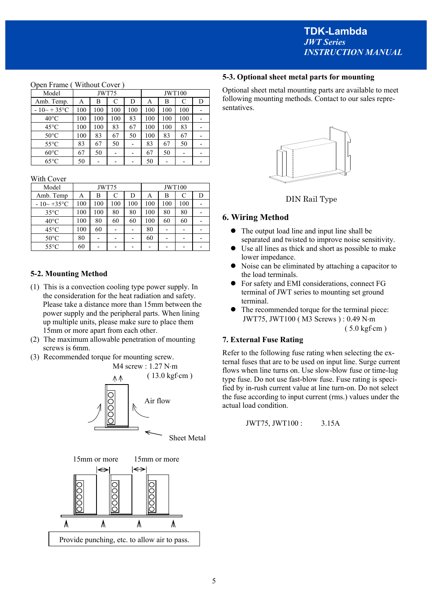# Model JWT75 | JWT100 Amb. Temp.  $A \mid B \mid C \mid D \mid A \mid B \mid C \mid D$  $-10 \sim +35$ °C 100 100 100 100 100 100 100 -40°C | 100 | 100 | 100 | 83 | 100 | 100 | 100 | -45°C | 100 | 100 | 83 | 67 | 100 | 100 | 83 | - $50^{\circ}$ C | 100 | 83 | 67 | 50 | 100 | 83 | 67 | -55 °C  $\begin{array}{|c|c|c|c|c|c|c|c|c|} \hline \end{array}$  83 | 67 | 50 | - $60^{\circ}$ C  $\begin{array}{|c|c|c|c|c|c|c|c|c|} \hline \end{array}$  67 | 50 | - | -65°C 50 - - - 50 - - -

#### Open Frame ( Without Cover )

With Cover

| Model             | JWT75 |     |     | <b>JWT100</b> |     |     |     |   |
|-------------------|-------|-----|-----|---------------|-----|-----|-----|---|
| Amb. Temp         | Α     | в   | C   | D             | Α   | В   | C   | D |
| $-10 \sim +35$ °C | 100   | 100 | 100 | 100           | 100 | 100 | 100 |   |
| $35^{\circ}$ C    | 100   | 100 | 80  | 80            | 100 | 80  | 80  |   |
| $40^{\circ}$ C    | 100   | 80  | 60  | 60            | 100 | 60  | 60  |   |
| $45^{\circ}$ C    | 100   | 60  |     |               | 80  |     |     |   |
| $50^{\circ}$ C    | 80    |     |     |               | 60  |     |     |   |
| $55^{\circ}$ C    | 60    |     |     |               |     |     |     |   |

# **5-2. Mounting Method**

- (1) This is a convection cooling type power supply. In the consideration for the heat radiation and safety. Please take a distance more than 15mm between the power supply and the peripheral parts. When lining up multiple units, please make sure to place them 15mm or more apart from each other.
- (2) The maximum allowable penetration of mounting screws is 6mm.
- (3) Recommended torque for mounting screw.





### **5-3. Optional sheet metal parts for mounting**

Optional sheet metal mounting parts are available to meet following mounting methods. Contact to our sales representatives.





#### **6. Wiring Method**

- The output load line and input line shall be separated and twisted to improve noise sensitivity.
- Use all lines as thick and short as possible to make lower impedance.
- Noise can be eliminated by attaching a capacitor to the load terminals.
- For safety and EMI considerations, connect FG terminal of JWT series to mounting set ground terminal.
- The recommended torque for the terminal piece: JWT75, JWT100 (M3 Screws): 0.49 N·m

 $(5.0 \text{ kgf} \cdot \text{cm})$ 

#### **7. External Fuse Rating**

Refer to the following fuse rating when selecting the external fuses that are to be used on input line. Surge current flows when line turns on. Use slow-blow fuse or time-lug type fuse. Do not use fast-blow fuse. Fuse rating is specified by in-rush current value at line turn-on. Do not select the fuse according to input current (rms.) values under the actual load condition.

$$
JWT75, JWT100: 3.15A
$$